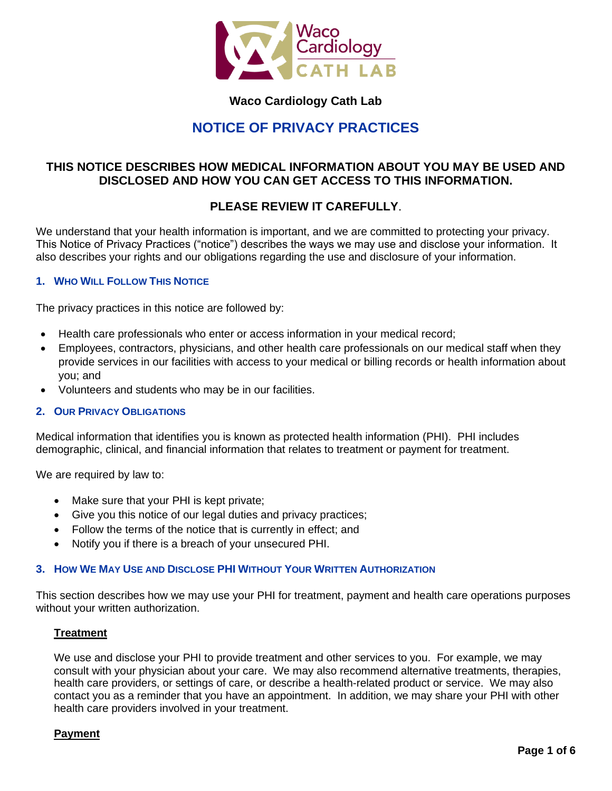

# **Waco Cardiology Cath Lab**

# **NOTICE OF PRIVACY PRACTICES**

# **THIS NOTICE DESCRIBES HOW MEDICAL INFORMATION ABOUT YOU MAY BE USED AND DISCLOSED AND HOW YOU CAN GET ACCESS TO THIS INFORMATION.**

# **PLEASE REVIEW IT CAREFULLY**.

We understand that your health information is important, and we are committed to protecting your privacy. This Notice of Privacy Practices ("notice") describes the ways we may use and disclose your information. It also describes your rights and our obligations regarding the use and disclosure of your information.

# **1. WHO WILL FOLLOW THIS NOTICE**

The privacy practices in this notice are followed by:

- Health care professionals who enter or access information in your medical record;
- Employees, contractors, physicians, and other health care professionals on our medical staff when they provide services in our facilities with access to your medical or billing records or health information about you; and
- Volunteers and students who may be in our facilities.

# **2. OUR PRIVACY OBLIGATIONS**

Medical information that identifies you is known as protected health information (PHI). PHI includes demographic, clinical, and financial information that relates to treatment or payment for treatment.

We are required by law to:

- Make sure that your PHI is kept private;
- Give you this notice of our legal duties and privacy practices;
- Follow the terms of the notice that is currently in effect; and
- Notify you if there is a breach of your unsecured PHI.

# **3. HOW WE MAY USE AND DISCLOSE PHI WITHOUT YOUR WRITTEN AUTHORIZATION**

This section describes how we may use your PHI for treatment, payment and health care operations purposes without your written authorization.

# **Treatment**

We use and disclose your PHI to provide treatment and other services to you. For example, we may consult with your physician about your care. We may also recommend alternative treatments, therapies, health care providers, or settings of care, or describe a health-related product or service. We may also contact you as a reminder that you have an appointment. In addition, we may share your PHI with other health care providers involved in your treatment.

# **Payment**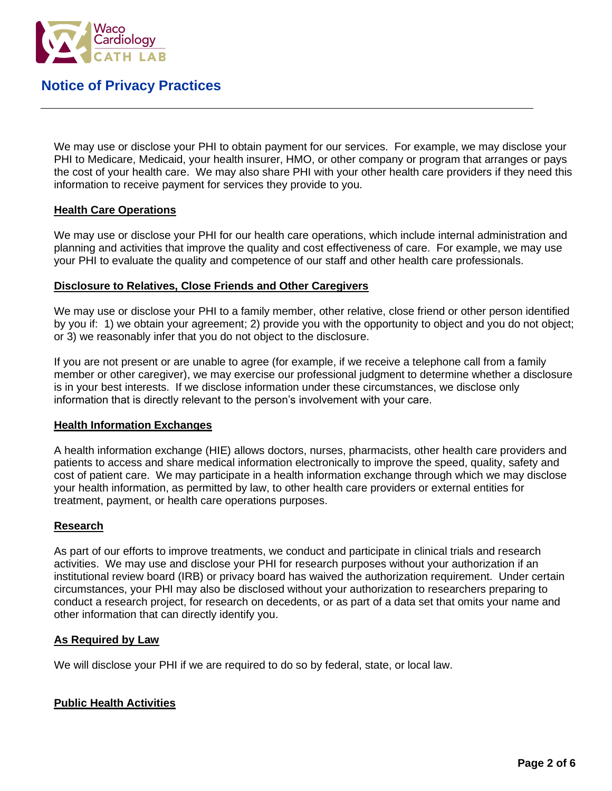

We may use or disclose your PHI to obtain payment for our services. For example, we may disclose your PHI to Medicare, Medicaid, your health insurer, HMO, or other company or program that arranges or pays the cost of your health care. We may also share PHI with your other health care providers if they need this information to receive payment for services they provide to you.

# **Health Care Operations**

We may use or disclose your PHI for our health care operations, which include internal administration and planning and activities that improve the quality and cost effectiveness of care. For example, we may use your PHI to evaluate the quality and competence of our staff and other health care professionals.

# **Disclosure to Relatives, Close Friends and Other Caregivers**

We may use or disclose your PHI to a family member, other relative, close friend or other person identified by you if: 1) we obtain your agreement; 2) provide you with the opportunity to object and you do not object; or 3) we reasonably infer that you do not object to the disclosure.

If you are not present or are unable to agree (for example, if we receive a telephone call from a family member or other caregiver), we may exercise our professional judgment to determine whether a disclosure is in your best interests. If we disclose information under these circumstances, we disclose only information that is directly relevant to the person's involvement with your care.

# **Health Information Exchanges**

A health information exchange (HIE) allows doctors, nurses, pharmacists, other health care providers and patients to access and share medical information electronically to improve the speed, quality, safety and cost of patient care. We may participate in a health information exchange through which we may disclose your health information, as permitted by law, to other health care providers or external entities for treatment, payment, or health care operations purposes.

# **Research**

As part of our efforts to improve treatments, we conduct and participate in clinical trials and research activities. We may use and disclose your PHI for research purposes without your authorization if an institutional review board (IRB) or privacy board has waived the authorization requirement. Under certain circumstances, your PHI may also be disclosed without your authorization to researchers preparing to conduct a research project, for research on decedents, or as part of a data set that omits your name and other information that can directly identify you.

# **As Required by Law**

We will disclose your PHI if we are required to do so by federal, state, or local law.

# **Public Health Activities**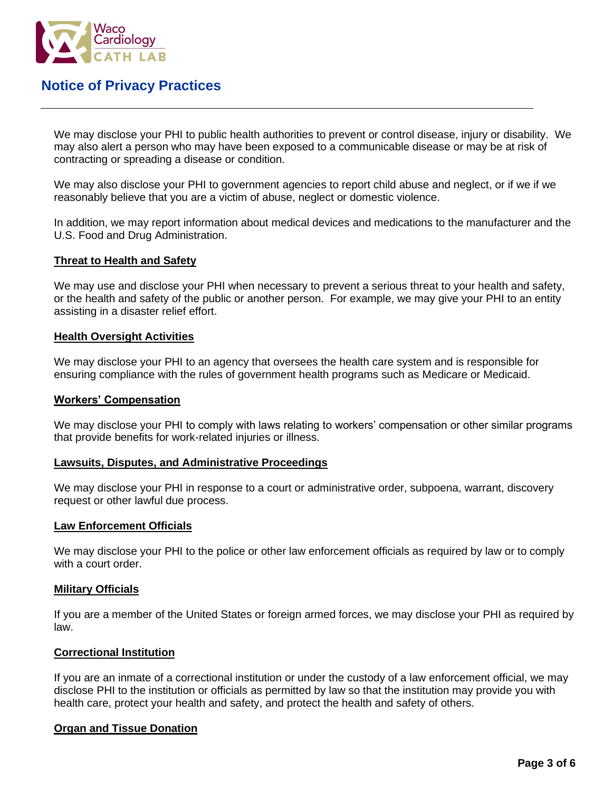

We may disclose your PHI to public health authorities to prevent or control disease, injury or disability. We may also alert a person who may have been exposed to a communicable disease or may be at risk of contracting or spreading a disease or condition.

We may also disclose your PHI to government agencies to report child abuse and neglect, or if we if we reasonably believe that you are a victim of abuse, neglect or domestic violence.

In addition, we may report information about medical devices and medications to the manufacturer and the U.S. Food and Drug Administration.

# **Threat to Health and Safety**

We may use and disclose your PHI when necessary to prevent a serious threat to your health and safety, or the health and safety of the public or another person. For example, we may give your PHI to an entity assisting in a disaster relief effort.

# **Health Oversight Activities**

We may disclose your PHI to an agency that oversees the health care system and is responsible for ensuring compliance with the rules of government health programs such as Medicare or Medicaid.

### **Workers' Compensation**

We may disclose your PHI to comply with laws relating to workers' compensation or other similar programs that provide benefits for work-related injuries or illness.

#### **Lawsuits, Disputes, and Administrative Proceedings**

We may disclose your PHI in response to a court or administrative order, subpoena, warrant, discovery request or other lawful due process.

#### **Law Enforcement Officials**

We may disclose your PHI to the police or other law enforcement officials as required by law or to comply with a court order.

# **Military Officials**

If you are a member of the United States or foreign armed forces, we may disclose your PHI as required by law.

#### **Correctional Institution**

If you are an inmate of a correctional institution or under the custody of a law enforcement official, we may disclose PHI to the institution or officials as permitted by law so that the institution may provide you with health care, protect your health and safety, and protect the health and safety of others.

# **Organ and Tissue Donation**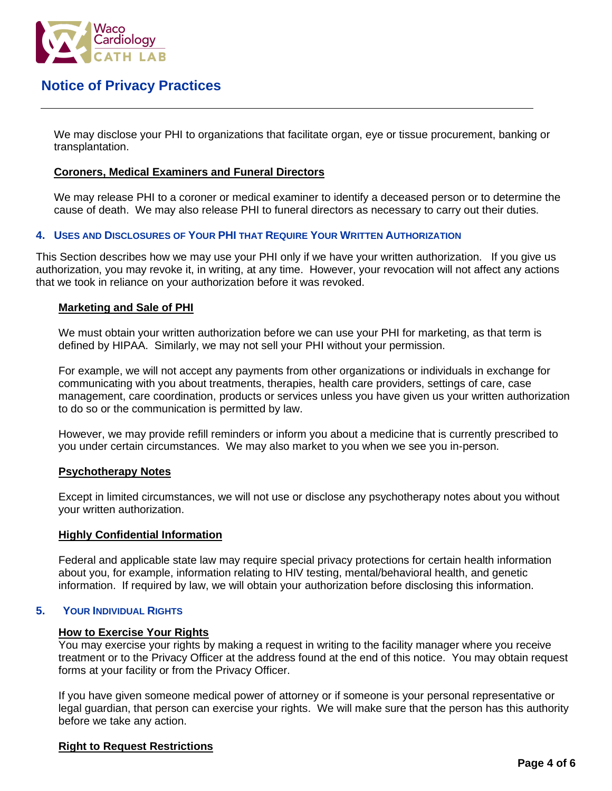

We may disclose your PHI to organizations that facilitate organ, eye or tissue procurement, banking or transplantation.

# **Coroners, Medical Examiners and Funeral Directors**

We may release PHI to a coroner or medical examiner to identify a deceased person or to determine the cause of death. We may also release PHI to funeral directors as necessary to carry out their duties.

#### **4. USES AND DISCLOSURES OF YOUR PHI THAT REQUIRE YOUR WRITTEN AUTHORIZATION**

This Section describes how we may use your PHI only if we have your written authorization. If you give us authorization, you may revoke it, in writing, at any time. However, your revocation will not affect any actions that we took in reliance on your authorization before it was revoked.

#### **Marketing and Sale of PHI**

We must obtain your written authorization before we can use your PHI for marketing, as that term is defined by HIPAA. Similarly, we may not sell your PHI without your permission.

For example, we will not accept any payments from other organizations or individuals in exchange for communicating with you about treatments, therapies, health care providers, settings of care, case management, care coordination, products or services unless you have given us your written authorization to do so or the communication is permitted by law.

However, we may provide refill reminders or inform you about a medicine that is currently prescribed to you under certain circumstances. We may also market to you when we see you in-person.

#### **Psychotherapy Notes**

Except in limited circumstances, we will not use or disclose any psychotherapy notes about you without your written authorization.

#### **Highly Confidential Information**

Federal and applicable state law may require special privacy protections for certain health information about you, for example, information relating to HIV testing, mental/behavioral health, and genetic information. If required by law, we will obtain your authorization before disclosing this information.

# **5. YOUR INDIVIDUAL RIGHTS**

#### **How to Exercise Your Rights**

You may exercise your rights by making a request in writing to the facility manager where you receive treatment or to the Privacy Officer at the address found at the end of this notice. You may obtain request forms at your facility or from the Privacy Officer.

If you have given someone medical power of attorney or if someone is your personal representative or legal guardian, that person can exercise your rights. We will make sure that the person has this authority before we take any action.

# **Right to Request Restrictions**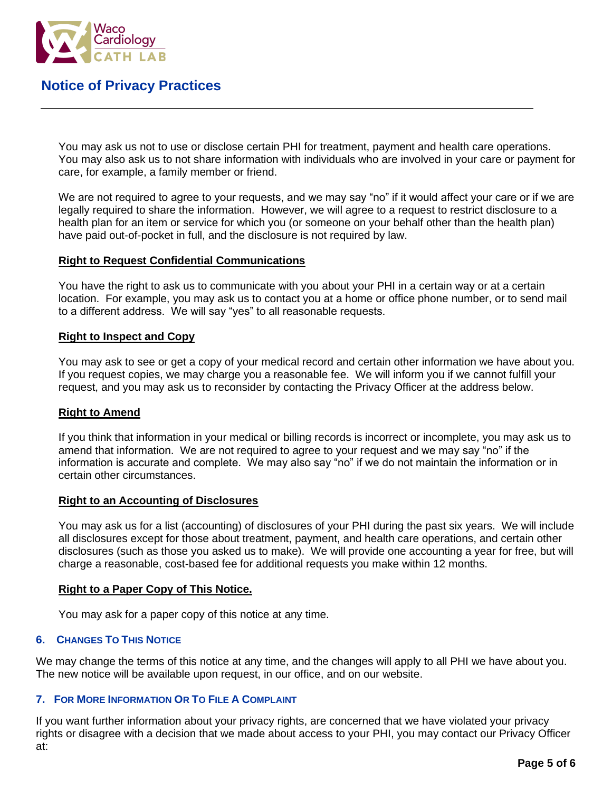

You may ask us not to use or disclose certain PHI for treatment, payment and health care operations. You may also ask us to not share information with individuals who are involved in your care or payment for care, for example, a family member or friend.

We are not required to agree to your requests, and we may say "no" if it would affect your care or if we are legally required to share the information. However, we will agree to a request to restrict disclosure to a health plan for an item or service for which you (or someone on your behalf other than the health plan) have paid out-of-pocket in full, and the disclosure is not required by law.

# **Right to Request Confidential Communications**

You have the right to ask us to communicate with you about your PHI in a certain way or at a certain location. For example, you may ask us to contact you at a home or office phone number, or to send mail to a different address. We will say "yes" to all reasonable requests.

# **Right to Inspect and Copy**

You may ask to see or get a copy of your medical record and certain other information we have about you. If you request copies, we may charge you a reasonable fee. We will inform you if we cannot fulfill your request, and you may ask us to reconsider by contacting the Privacy Officer at the address below.

# **Right to Amend**

If you think that information in your medical or billing records is incorrect or incomplete, you may ask us to amend that information. We are not required to agree to your request and we may say "no" if the information is accurate and complete. We may also say "no" if we do not maintain the information or in certain other circumstances.

#### **Right to an Accounting of Disclosures**

You may ask us for a list (accounting) of disclosures of your PHI during the past six years. We will include all disclosures except for those about treatment, payment, and health care operations, and certain other disclosures (such as those you asked us to make). We will provide one accounting a year for free, but will charge a reasonable, cost-based fee for additional requests you make within 12 months.

# **Right to a Paper Copy of This Notice.**

You may ask for a paper copy of this notice at any time.

# **6. CHANGES TO THIS NOTICE**

We may change the terms of this notice at any time, and the changes will apply to all PHI we have about you. The new notice will be available upon request, in our office, and on our website.

# **7. FOR MORE INFORMATION OR TO FILE A COMPLAINT**

If you want further information about your privacy rights, are concerned that we have violated your privacy rights or disagree with a decision that we made about access to your PHI, you may contact our Privacy Officer at: